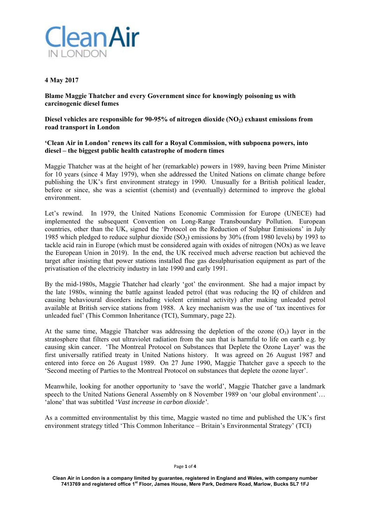

## **4 May 2017**

**Blame Maggie Thatcher and every Government since for knowingly poisoning us with carcinogenic diesel fumes** 

Diesel vehicles are responsible for 90-95% of nitrogen dioxide (NO<sub>2</sub>) exhaust emissions from **road transport in London** 

## **'Clean Air in London' renews its call for a Royal Commission, with subpoena powers, into diesel – the biggest public health catastrophe of modern times**

Maggie Thatcher was at the height of her (remarkable) powers in 1989, having been Prime Minister for 10 years (since 4 May 1979), when she addressed the United Nations on climate change before publishing the UK's first environment strategy in 1990. Unusually for a British political leader, before or since, she was a scientist (chemist) and (eventually) determined to improve the global environment.

Let's rewind. In 1979, the United Nations Economic Commission for Europe (UNECE) had implemented the subsequent Convention on Long-Range Transboundary Pollution. European countries, other than the UK, signed the 'Protocol on the Reduction of Sulphur Emissions' in July 1985 which pledged to reduce sulphur dioxide  $(SO<sub>2</sub>)$  emissions by 30% (from 1980 levels) by 1993 to tackle acid rain in Europe (which must be considered again with oxides of nitrogen (NOx) as we leave the European Union in 2019). In the end, the UK received much adverse reaction but achieved the target after insisting that power stations installed flue gas desulphurisation equipment as part of the privatisation of the electricity industry in late 1990 and early 1991.

By the mid-1980s, Maggie Thatcher had clearly 'got' the environment. She had a major impact by the late 1980s, winning the battle against leaded petrol (that was reducing the IQ of children and causing behavioural disorders including violent criminal activity) after making unleaded petrol available at British service stations from 1988. A key mechanism was the use of 'tax incentives for unleaded fuel' (This Common Inheritance (TCI), Summary, page 22).

At the same time, Maggie Thatcher was addressing the depletion of the ozone  $(O_3)$  layer in the stratosphere that filters out ultraviolet radiation from the sun that is harmful to life on earth e.g. by causing skin cancer. 'The Montreal Protocol on Substances that Deplete the Ozone Layer' was the first universally ratified treaty in United Nations history. It was agreed on 26 August 1987 and entered into force on 26 August 1989. On 27 June 1990, Maggie Thatcher gave a speech to the 'Second meeting of Parties to the Montreal Protocol on substances that deplete the ozone layer'.

Meanwhile, looking for another opportunity to 'save the world', Maggie Thatcher gave a landmark speech to the United Nations General Assembly on 8 November 1989 on 'our global environment'... 'alone' that was subtitled '*Vast increase in carbon dioxide'*.

As a committed environmentalist by this time, Maggie wasted no time and published the UK's first environment strategy titled 'This Common Inheritance – Britain's Environmental Strategy' (TCI)

## Page **1** of **4**

**Clean Air in London is a company limited by guarantee, registered in England and Wales, with company number 7413769 and registered office 1st Floor, James House, Mere Park, Dedmere Road, Marlow, Bucks SL7 1FJ**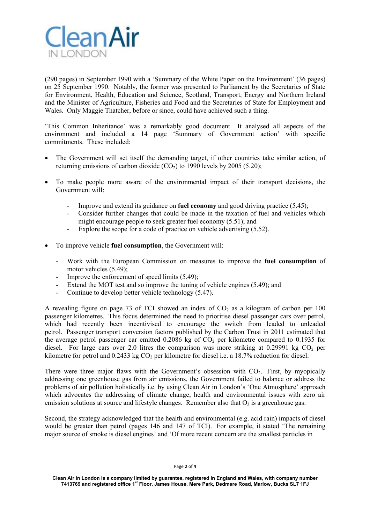

(290 pages) in September 1990 with a 'Summary of the White Paper on the Environment' (36 pages) on 25 September 1990. Notably, the former was presented to Parliament by the Secretaries of State for Environment, Health, Education and Science, Scotland, Transport, Energy and Northern Ireland and the Minister of Agriculture, Fisheries and Food and the Secretaries of State for Employment and Wales. Only Maggie Thatcher, before or since, could have achieved such a thing.

'This Common Inheritance' was a remarkably good document. It analysed all aspects of the environment and included a 14 page 'Summary of Government action' with specific commitments. These included:

- The Government will set itself the demanding target, if other countries take similar action, of returning emissions of carbon dioxide  $(CO<sub>2</sub>)$  to 1990 levels by 2005 (5.20);
- To make people more aware of the environmental impact of their transport decisions, the Government will:
	- Improve and extend its guidance on **fuel economy** and good driving practice (5.45);
	- Consider further changes that could be made in the taxation of fuel and vehicles which might encourage people to seek greater fuel economy (5.51); and
	- Explore the scope for a code of practice on vehicle advertising (5.52).
- To improve vehicle **fuel consumption**, the Government will:
	- Work with the European Commission on measures to improve the **fuel consumption** of motor vehicles (5.49);
	- Improve the enforcement of speed limits  $(5.49)$ ;
	- Extend the MOT test and so improve the tuning of vehicle engines (5.49); and
	- Continue to develop better vehicle technology (5.47).

A revealing figure on page 73 of TCI showed an index of  $CO<sub>2</sub>$  as a kilogram of carbon per 100 passenger kilometres. This focus determined the need to prioritise diesel passenger cars over petrol, which had recently been incentivised to encourage the switch from leaded to unleaded petrol. Passenger transport conversion factors published by the Carbon Trust in 2011 estimated that the average petrol passenger car emitted  $0.2086$  kg of  $CO<sub>2</sub>$  per kilometre compared to  $0.1935$  for diesel. For large cars over 2.0 litres the comparison was more striking at 0.29991 kg  $CO<sub>2</sub>$  per kilometre for petrol and  $0.2433$  kg CO<sub>2</sub> per kilometre for diesel i.e. a 18.7% reduction for diesel.

There were three major flaws with the Government's obsession with  $CO<sub>2</sub>$ . First, by myopically addressing one greenhouse gas from air emissions, the Government failed to balance or address the problems of air pollution holistically i.e. by using Clean Air in London's 'One Atmosphere' approach which advocates the addressing of climate change, health and environmental issues with zero air emission solutions at source and lifestyle changes. Remember also that  $O_3$  is a greenhouse gas.

Second, the strategy acknowledged that the health and environmental (e.g. acid rain) impacts of diesel would be greater than petrol (pages 146 and 147 of TCI). For example, it stated 'The remaining major source of smoke is diesel engines' and 'Of more recent concern are the smallest particles in

Page **2** of **4** 

**Clean Air in London is a company limited by guarantee, registered in England and Wales, with company number 7413769 and registered office 1st Floor, James House, Mere Park, Dedmere Road, Marlow, Bucks SL7 1FJ**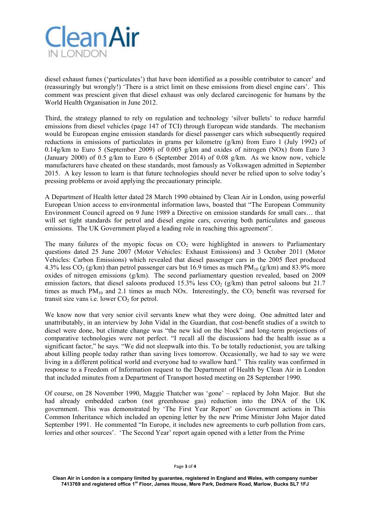

diesel exhaust fumes ('particulates') that have been identified as a possible contributor to cancer' and (reassuringly but wrongly!) 'There is a strict limit on these emissions from diesel engine cars'. This comment was prescient given that diesel exhaust was only declared carcinogenic for humans by the World Health Organisation in June 2012.

Third, the strategy planned to rely on regulation and technology 'silver bullets' to reduce harmful emissions from diesel vehicles (page 147 of TCI) through European wide standards. The mechanism would be European engine emission standards for diesel passenger cars which subsequently required reductions in emissions of particulates in grams per kilometre (g/km) from Euro 1 (July 1992) of 0.14g/km to Euro 5 (September 2009) of 0.005 g/km and oxides of nitrogen (NOx) from Euro 3 (January 2000) of 0.5 g/km to Euro 6 (September 2014) of 0.08 g/km. As we know now, vehicle manufacturers have cheated on these standards, most famously as Volkswagen admitted in September 2015. A key lesson to learn is that future technologies should never be relied upon to solve today's pressing problems or avoid applying the precautionary principle.

A Department of Health letter dated 28 March 1990 obtained by Clean Air in London, using powerful European Union access to environmental information laws, boasted that "The European Community Environment Council agreed on 9 June 1989 a Directive on emission standards for small cars… that will set tight standards for petrol and diesel engine cars, covering both particulates and gaseous emissions. The UK Government played a leading role in reaching this agreement".

The many failures of the myopic focus on  $CO<sub>2</sub>$  were highlighted in answers to Parliamentary questions dated 25 June 2007 (Motor Vehicles: Exhaust Emissions) and 3 October 2011 (Motor Vehicles: Carbon Emissions) which revealed that diesel passenger cars in the 2005 fleet produced 4.3% less  $CO_2$  (g/km) than petrol passenger cars but 16.9 times as much  $PM_{10}$  (g/km) and 83.9% more oxides of nitrogen emissions (g/km). The second parliamentary question revealed, based on 2009 emission factors, that diesel saloons produced 15.3% less  $CO<sub>2</sub>$  (g/km) than petrol saloons but 21.7 times as much  $PM_{10}$  and 2.1 times as much NOx. Interestingly, the  $CO_2$  benefit was reversed for transit size vans i.e. lower  $CO<sub>2</sub>$  for petrol.

We know now that very senior civil servants knew what they were doing. One admitted later and unattributably, in an interview by John Vidal in the Guardian, that cost-benefit studies of a switch to diesel were done, but climate change was "the new kid on the block" and long-term projections of comparative technologies were not perfect. "I recall all the discussions had the health issue as a significant factor," he says. "We did not sleepwalk into this. To be totally reductionist, you are talking about killing people today rather than saving lives tomorrow. Occasionally, we had to say we were living in a different political world and everyone had to swallow hard." This reality was confirmed in response to a Freedom of Information request to the Department of Health by Clean Air in London that included minutes from a Department of Transport hosted meeting on 28 September 1990.

Of course, on 28 November 1990, Maggie Thatcher was 'gone' – replaced by John Major. But she had already embedded carbon (not greenhouse gas) reduction into the DNA of the UK government. This was demonstrated by 'The First Year Report' on Government actions in This Common Inheritance which included an opening letter by the new Prime Minister John Major dated September 1991. He commented "In Europe, it includes new agreements to curb pollution from cars, lorries and other sources'. 'The Second Year' report again opened with a letter from the Prime

**Clean Air in London is a company limited by guarantee, registered in England and Wales, with company number 7413769 and registered office 1st Floor, James House, Mere Park, Dedmere Road, Marlow, Bucks SL7 1FJ**